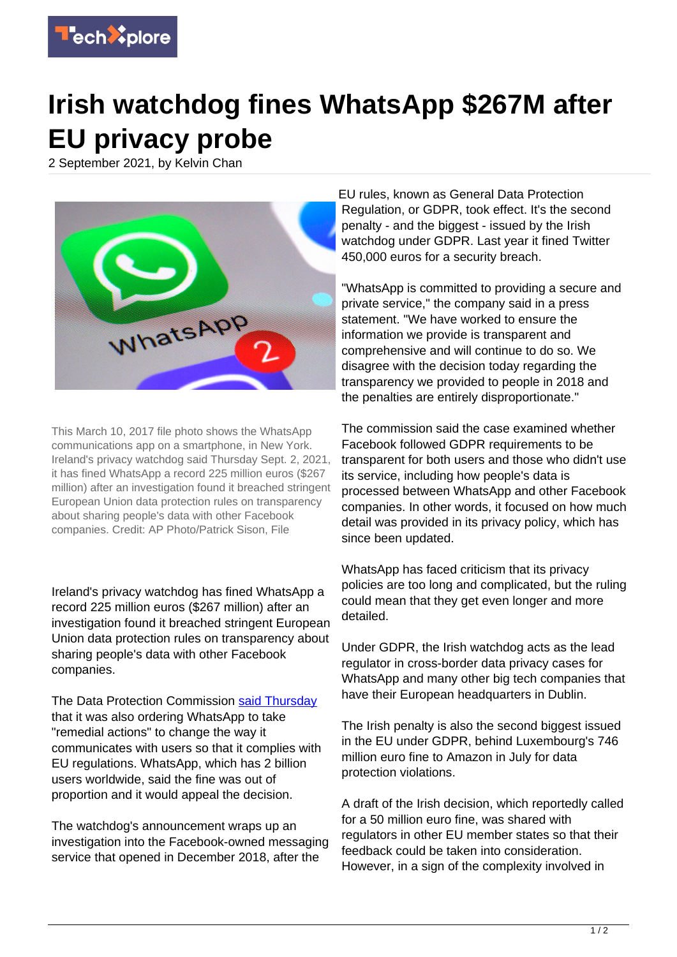

## **Irish watchdog fines WhatsApp \$267M after EU privacy probe**

2 September 2021, by Kelvin Chan



This March 10, 2017 file photo shows the WhatsApp communications app on a smartphone, in New York. Ireland's privacy watchdog said Thursday Sept. 2, 2021, it has fined WhatsApp a record 225 million euros (\$267 million) after an investigation found it breached stringent European Union data protection rules on transparency about sharing people's data with other Facebook companies. Credit: AP Photo/Patrick Sison, File

Ireland's privacy watchdog has fined WhatsApp a record 225 million euros (\$267 million) after an investigation found it breached stringent European Union data protection rules on transparency about sharing people's data with other Facebook companies.

The Data Protection Commission [said Thursday](https://www.dataprotection.ie/en/news-media/press-releases/data-protection-commission-announces-decision-whatsapp-inquiry) that it was also ordering WhatsApp to take "remedial actions" to change the way it communicates with users so that it complies with EU regulations. WhatsApp, which has 2 billion users worldwide, said the fine was out of proportion and it would appeal the decision.

The watchdog's announcement wraps up an investigation into the Facebook-owned messaging service that opened in December 2018, after the

EU rules, known as General Data Protection Regulation, or GDPR, took effect. It's the second penalty - and the biggest - issued by the Irish watchdog under GDPR. Last year it fined Twitter 450,000 euros for a security breach.

"WhatsApp is committed to providing a secure and private service," the company said in a press statement. "We have worked to ensure the information we provide is transparent and comprehensive and will continue to do so. We disagree with the decision today regarding the transparency we provided to people in 2018 and the penalties are entirely disproportionate."

The commission said the case examined whether Facebook followed GDPR requirements to be transparent for both users and those who didn't use its service, including how people's data is processed between WhatsApp and other Facebook companies. In other words, it focused on how much detail was provided in its privacy policy, which has since been updated.

WhatsApp has faced criticism that its privacy policies are too long and complicated, but the ruling could mean that they get even longer and more detailed.

Under GDPR, the Irish watchdog acts as the lead regulator in cross-border data privacy cases for WhatsApp and many other big tech companies that have their European headquarters in Dublin.

The Irish penalty is also the second biggest issued in the EU under GDPR, behind Luxembourg's 746 million euro fine to Amazon in July for data protection violations.

A draft of the Irish decision, which reportedly called for a 50 million euro fine, was shared with regulators in other EU member states so that their feedback could be taken into consideration. However, in a sign of the complexity involved in